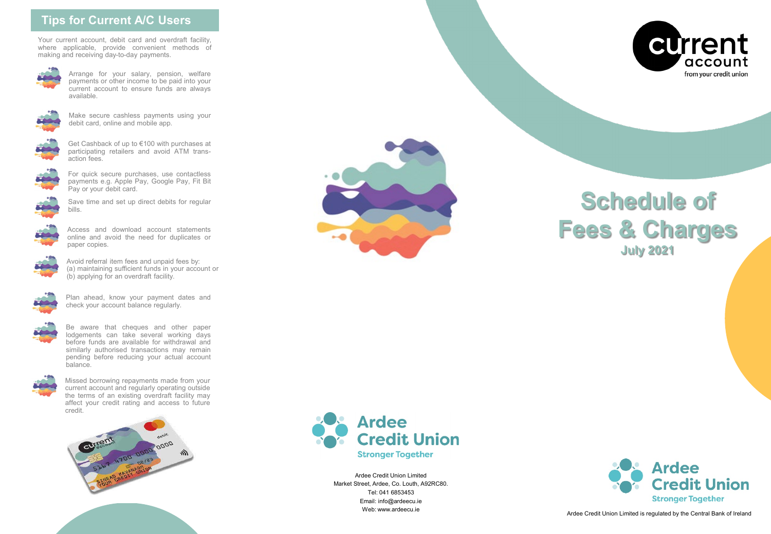## **Tips for Current A/C Users**

Your current account, debit card and overdraft facility, where applicable, provide convenient methods of making and receiving day-to-day payments.



Arrange for your salary, pension, welfare payments or other income to be paid into your current account to ensure funds are always available.



Make secure cashless payments using your debit card, online and mobile app.



Get Cashback of up to €100 with purchases at participating retailers and avoid ATM transaction fees.



For quick secure purchases, use contactless payments e.g. Apple Pay, Google Pay, Fit Bit Pay or your debit card.



Save time and set up direct debits for regular bills.



Access and download account statements online and avoid the need for duplicates or paper copies.



Avoid referral item fees and unpaid fees by: (a) maintaining sufficient funds in your account or (b) applying for an overdraft facility.



Plan ahead, know your payment dates and check your account balance regularly.



Be aware that cheques and other paper lodgements can take several working days before funds are available for withdrawal and similarly authorised transactions may remain pending before reducing your actual account balance.



Missed borrowing repayments made from your current account and regularly operating outside the terms of an existing overdraft facility may affect your credit rating and access to future credit.





Ardee Credit Union Limited Market Street, Ardee, Co. Louth, A92RC80. Tel: 041 6853453 Email: info@ardeecu.ie